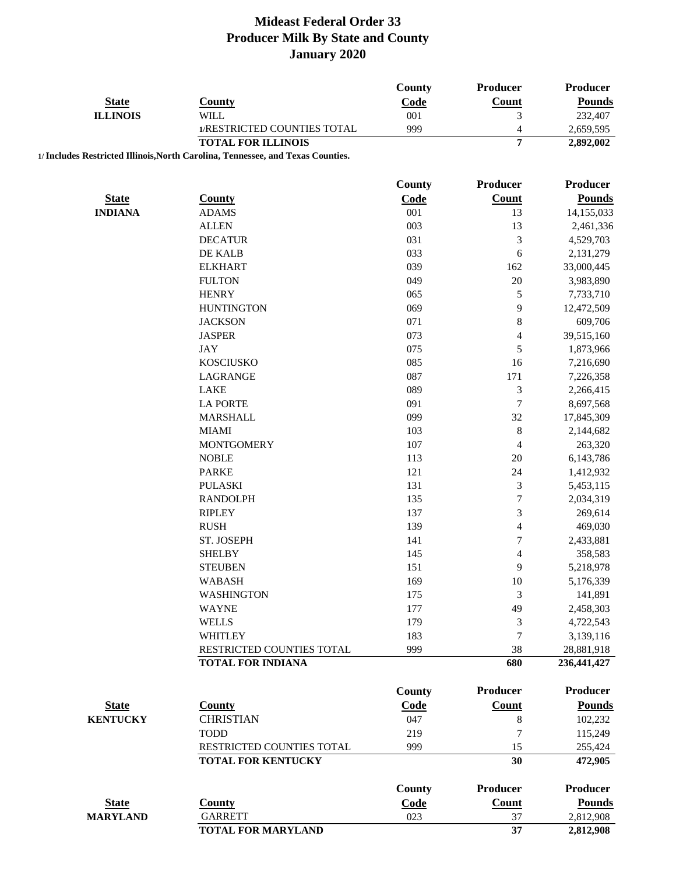|                 |                                                                                 | <b>County</b> | <b>Producer</b>          | Producer        |
|-----------------|---------------------------------------------------------------------------------|---------------|--------------------------|-----------------|
| <b>State</b>    | <b>County</b>                                                                   | Code          | <b>Count</b>             | <b>Pounds</b>   |
| <b>ILLINOIS</b> | <b>WILL</b>                                                                     | 001           | 3                        | 232,407         |
|                 | 1/RESTRICTED COUNTIES TOTAL                                                     | 999           | $\overline{\mathcal{L}}$ | 2,659,595       |
|                 | <b>TOTAL FOR ILLINOIS</b>                                                       |               | 7                        | 2,892,002       |
|                 | 1/ Includes Restricted Illinois, North Carolina, Tennessee, and Texas Counties. |               |                          |                 |
|                 |                                                                                 | <b>County</b> | Producer                 | Producer        |
| <b>State</b>    | <b>County</b>                                                                   | Code          | <b>Count</b>             | <b>Pounds</b>   |
| <b>INDIANA</b>  | <b>ADAMS</b>                                                                    | 001           | 13                       | 14,155,033      |
|                 | <b>ALLEN</b>                                                                    | 003           | 13                       | 2,461,336       |
|                 | <b>DECATUR</b>                                                                  | 031           | 3                        | 4,529,703       |
|                 | DE KALB                                                                         | 033           | 6                        | 2,131,279       |
|                 | <b>ELKHART</b>                                                                  | 039           | 162                      | 33,000,445      |
|                 | <b>FULTON</b>                                                                   | 049           | 20                       | 3,983,890       |
|                 | <b>HENRY</b>                                                                    | 065           | $\sqrt{5}$               | 7,733,710       |
|                 | <b>HUNTINGTON</b>                                                               | 069           | 9                        | 12,472,509      |
|                 | <b>JACKSON</b>                                                                  | 071           | $\,8\,$                  | 609,706         |
|                 | <b>JASPER</b>                                                                   | 073           | $\overline{\mathcal{L}}$ | 39,515,160      |
|                 | <b>JAY</b>                                                                      | 075           | 5                        | 1,873,966       |
|                 | <b>KOSCIUSKO</b>                                                                | 085           | 16                       | 7,216,690       |
|                 | LAGRANGE                                                                        | 087           | 171                      | 7,226,358       |
|                 | LAKE                                                                            | 089           | $\mathfrak{Z}$           | 2,266,415       |
|                 | <b>LA PORTE</b>                                                                 | 091           | $\tau$                   | 8,697,568       |
|                 | <b>MARSHALL</b>                                                                 | 099           | 32                       | 17,845,309      |
|                 | <b>MIAMI</b>                                                                    | 103           | $\,$ 8 $\,$              | 2,144,682       |
|                 | <b>MONTGOMERY</b>                                                               | 107           | 4                        | 263,320         |
|                 | <b>NOBLE</b>                                                                    | 113           | 20                       | 6,143,786       |
|                 | <b>PARKE</b>                                                                    | 121           | 24                       | 1,412,932       |
|                 | <b>PULASKI</b>                                                                  | 131           | $\mathfrak{Z}$           | 5,453,115       |
|                 | <b>RANDOLPH</b>                                                                 | 135           | $\tau$                   | 2,034,319       |
|                 | <b>RIPLEY</b>                                                                   | 137           | $\mathfrak{Z}$           | 269,614         |
|                 | <b>RUSH</b>                                                                     | 139           | $\overline{4}$           | 469,030         |
|                 | ST. JOSEPH                                                                      | 141           | $\boldsymbol{7}$         | 2,433,881       |
|                 | <b>SHELBY</b>                                                                   | 145           | $\overline{\mathcal{L}}$ | 358,583         |
|                 | <b>STEUBEN</b>                                                                  | 151           | 9                        | 5,218,978       |
|                 | <b>WABASH</b>                                                                   | 169           | 10                       | 5,176,339       |
|                 | <b>WASHINGTON</b>                                                               | 175           | 3                        | 141,891         |
|                 | <b>WAYNE</b>                                                                    | 177           | 49                       | 2,458,303       |
|                 | <b>WELLS</b>                                                                    | 179           | 3                        | 4,722,543       |
|                 | WHITLEY                                                                         | 183           | 7                        | 3,139,116       |
|                 | RESTRICTED COUNTIES TOTAL                                                       | 999           | 38                       | 28,881,918      |
|                 | <b>TOTAL FOR INDIANA</b>                                                        |               | 680                      | 236,441,427     |
|                 |                                                                                 | <b>County</b> | <b>Producer</b>          | <b>Producer</b> |
| <b>State</b>    | <b>County</b>                                                                   | Code          | <b>Count</b>             | <b>Pounds</b>   |
| <b>KENTUCKY</b> | <b>CHRISTIAN</b>                                                                | 047           | $\,8$                    | 102,232         |
|                 | <b>TODD</b>                                                                     | 219           | $\tau$                   | 115,249         |
|                 | RESTRICTED COUNTIES TOTAL                                                       | 999           | 15                       | 255,424         |
|                 | <b>TOTAL FOR KENTUCKY</b>                                                       |               | 30                       | 472,905         |
|                 |                                                                                 | <b>County</b> | <b>Producer</b>          | <b>Producer</b> |
| <b>State</b>    | <b>County</b>                                                                   | Code          | Count                    | <b>Pounds</b>   |
| <b>MARYLAND</b> | <b>GARRETT</b>                                                                  | 023           | 37                       | 2,812,908       |
|                 | <b>TOTAL FOR MARYLAND</b>                                                       |               | 37                       | 2,812,908       |
|                 |                                                                                 |               |                          |                 |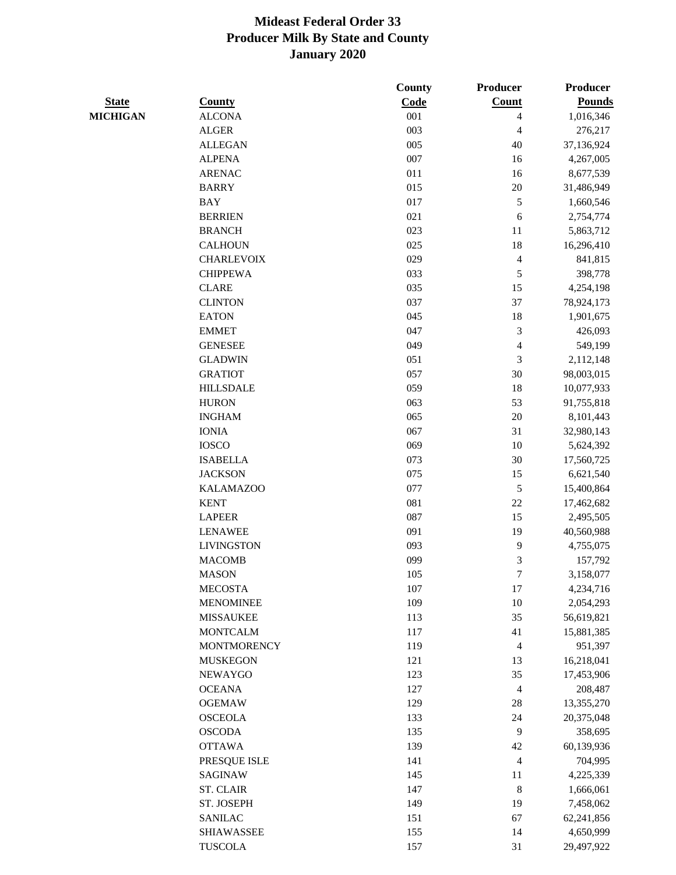|                 |                    | <b>County</b> | <b>Producer</b>         | Producer      |
|-----------------|--------------------|---------------|-------------------------|---------------|
| <b>State</b>    | <b>County</b>      | Code          | Count                   | <b>Pounds</b> |
| <b>MICHIGAN</b> | <b>ALCONA</b>      | 001           | 4                       | 1,016,346     |
|                 | <b>ALGER</b>       | 003           | 4                       | 276,217       |
|                 | <b>ALLEGAN</b>     | 005           | 40                      | 37,136,924    |
|                 | <b>ALPENA</b>      | 007           | 16                      | 4,267,005     |
|                 | <b>ARENAC</b>      | 011           | 16                      | 8,677,539     |
|                 | <b>BARRY</b>       | 015           | $20\,$                  | 31,486,949    |
|                 | <b>BAY</b>         | 017           | $\sqrt{5}$              | 1,660,546     |
|                 | <b>BERRIEN</b>     | 021           | 6                       | 2,754,774     |
|                 | <b>BRANCH</b>      | 023           | 11                      | 5,863,712     |
|                 | <b>CALHOUN</b>     | 025           | 18                      | 16,296,410    |
|                 | <b>CHARLEVOIX</b>  | 029           | $\overline{\mathbf{4}}$ | 841,815       |
|                 | <b>CHIPPEWA</b>    | 033           | $\sqrt{5}$              | 398,778       |
|                 | <b>CLARE</b>       | 035           | 15                      | 4,254,198     |
|                 | <b>CLINTON</b>     | 037           | 37                      | 78,924,173    |
|                 | <b>EATON</b>       | 045           | 18                      | 1,901,675     |
|                 | <b>EMMET</b>       | 047           | 3                       | 426,093       |
|                 | <b>GENESEE</b>     | 049           | 4                       | 549,199       |
|                 | <b>GLADWIN</b>     | 051           | 3                       | 2,112,148     |
|                 | <b>GRATIOT</b>     | 057           | 30                      | 98,003,015    |
|                 | <b>HILLSDALE</b>   | 059           | 18                      | 10,077,933    |
|                 | <b>HURON</b>       | 063           | 53                      | 91,755,818    |
|                 | <b>INGHAM</b>      | 065           | 20                      | 8,101,443     |
|                 | <b>IONIA</b>       | 067           | 31                      | 32,980,143    |
|                 | <b>IOSCO</b>       | 069           | 10                      | 5,624,392     |
|                 | <b>ISABELLA</b>    | 073           | 30                      | 17,560,725    |
|                 | <b>JACKSON</b>     | 075           | 15                      | 6,621,540     |
|                 | <b>KALAMAZOO</b>   | 077           | $\mathfrak s$           | 15,400,864    |
|                 | <b>KENT</b>        | 081           | $22\,$                  | 17,462,682    |
|                 | <b>LAPEER</b>      | 087           | 15                      | 2,495,505     |
|                 | <b>LENAWEE</b>     | 091           | 19                      | 40,560,988    |
|                 | <b>LIVINGSTON</b>  | 093           | $\mathbf{9}$            | 4,755,075     |
|                 | <b>MACOMB</b>      | 099           | 3                       | 157,792       |
|                 | <b>MASON</b>       | 105           | $\boldsymbol{7}$        | 3,158,077     |
|                 | <b>MECOSTA</b>     | 107           | 17                      | 4,234,716     |
|                 | <b>MENOMINEE</b>   | 109           | 10                      | 2,054,293     |
|                 | <b>MISSAUKEE</b>   | 113           | 35                      | 56,619,821    |
|                 | <b>MONTCALM</b>    | 117           | 41                      | 15,881,385    |
|                 | <b>MONTMORENCY</b> | 119           | $\overline{4}$          | 951,397       |
|                 | <b>MUSKEGON</b>    | 121           | 13                      | 16,218,041    |
|                 | <b>NEWAYGO</b>     | 123           | 35                      | 17,453,906    |
|                 | <b>OCEANA</b>      | 127           | $\overline{4}$          | 208,487       |
|                 | <b>OGEMAW</b>      | 129           | $28\,$                  | 13,355,270    |
|                 | <b>OSCEOLA</b>     | 133           | 24                      | 20,375,048    |
|                 | <b>OSCODA</b>      | 135           | 9                       | 358,695       |
|                 | <b>OTTAWA</b>      | 139           | 42                      | 60,139,936    |
|                 | PRESQUE ISLE       | 141           | 4                       | 704,995       |
|                 | SAGINAW            | 145           | 11                      | 4,225,339     |
|                 | <b>ST. CLAIR</b>   | 147           | $\,8\,$                 | 1,666,061     |
|                 | ST. JOSEPH         | 149           | 19                      | 7,458,062     |
|                 | <b>SANILAC</b>     | 151           | 67                      | 62,241,856    |
|                 | <b>SHIAWASSEE</b>  | 155           | 14                      | 4,650,999     |
|                 | <b>TUSCOLA</b>     | 157           | 31                      | 29,497,922    |
|                 |                    |               |                         |               |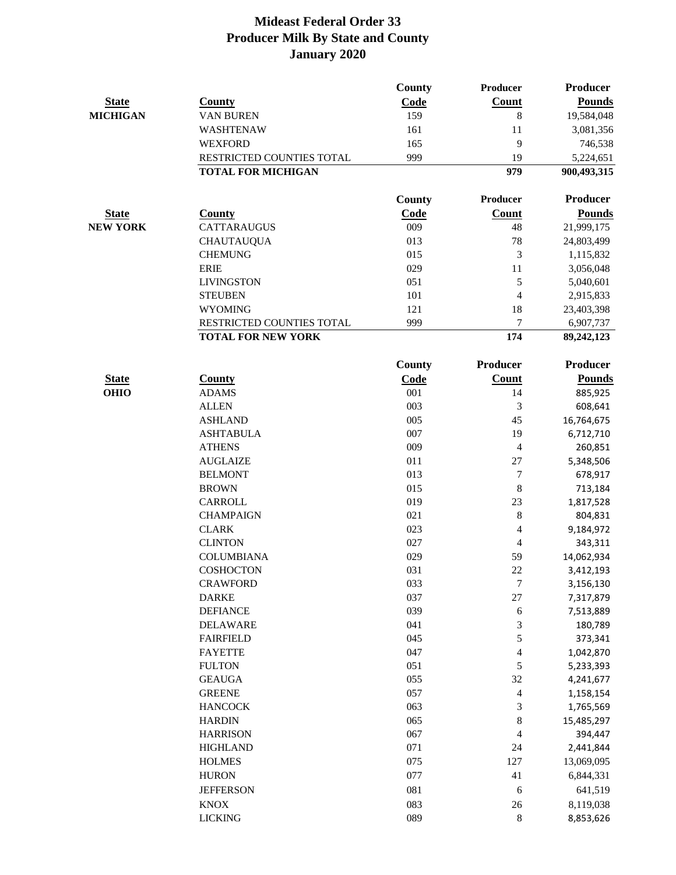|                 |                           | County        | Producer                    | <b>Producer</b> |
|-----------------|---------------------------|---------------|-----------------------------|-----------------|
| <b>State</b>    | <b>County</b>             | Code          | Count                       | <b>Pounds</b>   |
| <b>MICHIGAN</b> | <b>VAN BUREN</b>          | 159           | 8                           | 19,584,048      |
|                 | WASHTENAW                 | 161           | 11                          | 3,081,356       |
|                 | <b>WEXFORD</b>            | 165           | 9                           | 746,538         |
|                 | RESTRICTED COUNTIES TOTAL | 999           | 19                          | 5,224,651       |
|                 | <b>TOTAL FOR MICHIGAN</b> |               | 979                         | 900,493,315     |
|                 |                           | <b>County</b> | Producer                    | <b>Producer</b> |
| <b>State</b>    | <b>County</b>             | Code          | <b>Count</b>                | <b>Pounds</b>   |
| <b>NEW YORK</b> | <b>CATTARAUGUS</b>        | 009           | 48                          | 21,999,175      |
|                 | <b>CHAUTAUQUA</b>         | 013           | 78                          | 24,803,499      |
|                 | <b>CHEMUNG</b>            | 015           | 3                           | 1,115,832       |
|                 | <b>ERIE</b>               | 029           | 11                          | 3,056,048       |
|                 | <b>LIVINGSTON</b>         | 051           | $\sqrt{5}$                  | 5,040,601       |
|                 | <b>STEUBEN</b>            | 101           | 4                           | 2,915,833       |
|                 | <b>WYOMING</b>            | 121           | 18                          | 23,403,398      |
|                 | RESTRICTED COUNTIES TOTAL | 999           | 7                           | 6,907,737       |
|                 | <b>TOTAL FOR NEW YORK</b> |               | 174                         | 89,242,123      |
|                 |                           | <b>County</b> | Producer                    | Producer        |
| <b>State</b>    | <b>County</b>             | Code          | Count                       | <b>Pounds</b>   |
| <b>OHIO</b>     | <b>ADAMS</b>              | 001           | 14                          | 885,925         |
|                 | <b>ALLEN</b>              | 003           | $\mathfrak{Z}$              | 608,641         |
|                 | <b>ASHLAND</b>            | 005           | 45                          | 16,764,675      |
|                 | <b>ASHTABULA</b>          | 007           | 19                          | 6,712,710       |
|                 | <b>ATHENS</b>             | 009           | 4                           | 260,851         |
|                 | <b>AUGLAIZE</b>           | 011           | $27\,$                      | 5,348,506       |
|                 | <b>BELMONT</b>            | 013           | $\boldsymbol{7}$            | 678,917         |
|                 | <b>BROWN</b>              | 015           | $\,8$                       | 713,184         |
|                 | <b>CARROLL</b>            | 019           | 23                          | 1,817,528       |
|                 | <b>CHAMPAIGN</b>          | 021           | $\,8$                       | 804,831         |
|                 | <b>CLARK</b>              | 023           | 4                           | 9,184,972       |
|                 | <b>CLINTON</b>            | 027           | 4                           | 343,311         |
|                 | <b>COLUMBIANA</b>         | 029           | 59                          | 14,062,934      |
|                 | COSHOCTON                 | 031           | 22                          | 3,412,193       |
|                 | <b>CRAWFORD</b>           | 033           | $\tau$                      | 3,156,130       |
|                 | <b>DARKE</b>              | 037           | 27                          | 7,317,879       |
|                 | <b>DEFIANCE</b>           | 039           | 6                           | 7,513,889       |
|                 | <b>DELAWARE</b>           | 041           | $\ensuremath{\mathfrak{Z}}$ | 180,789         |
|                 | <b>FAIRFIELD</b>          | 045           | $\mathfrak s$               | 373,341         |
|                 | <b>FAYETTE</b>            | 047           | $\overline{4}$              | 1,042,870       |
|                 | <b>FULTON</b>             | 051           | $\sqrt{5}$                  | 5,233,393       |
|                 | <b>GEAUGA</b>             | 055           | 32                          | 4,241,677       |
|                 | <b>GREENE</b>             | 057           | $\overline{4}$              | 1,158,154       |
|                 | <b>HANCOCK</b>            | 063           | $\sqrt{3}$                  | 1,765,569       |
|                 | <b>HARDIN</b>             | 065           | $\,8\,$                     | 15,485,297      |
|                 | <b>HARRISON</b>           | 067           | $\overline{4}$              | 394,447         |
|                 | <b>HIGHLAND</b>           | 071           | $24\,$                      | 2,441,844       |
|                 | <b>HOLMES</b>             | 075           | 127                         | 13,069,095      |
|                 | <b>HURON</b>              | 077           | 41                          | 6,844,331       |
|                 | <b>JEFFERSON</b>          | 081           | 6                           | 641,519         |
|                 | <b>KNOX</b>               | 083           | $26\,$                      | 8,119,038       |
|                 | <b>LICKING</b>            | 089           | $\,8\,$                     | 8,853,626       |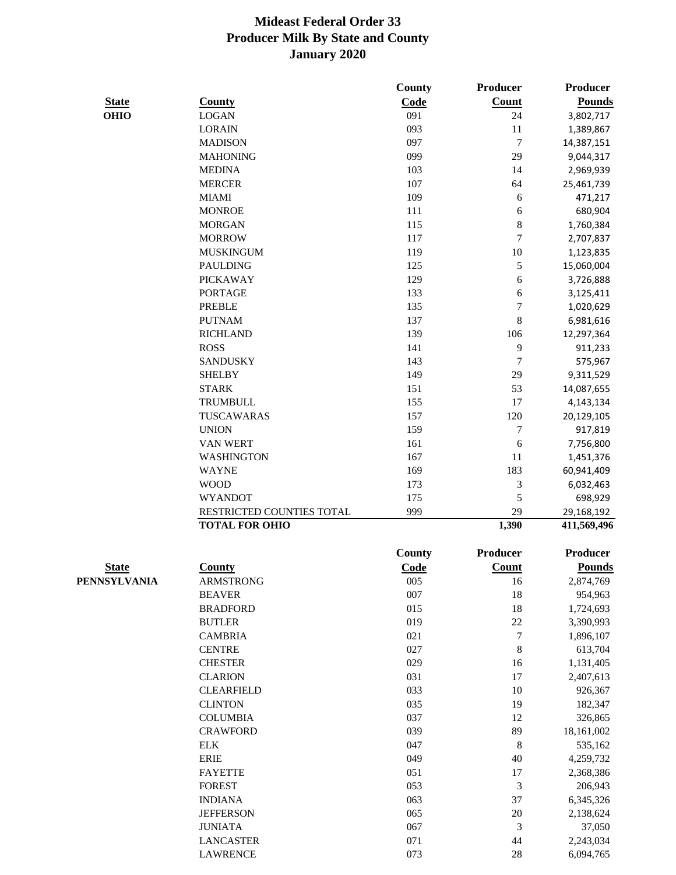|              |                           | County        | Producer                    | <b>Producer</b> |
|--------------|---------------------------|---------------|-----------------------------|-----------------|
| <b>State</b> | <b>County</b>             | Code          | Count                       | <b>Pounds</b>   |
| <b>OHIO</b>  | <b>LOGAN</b>              | 091           | 24                          | 3,802,717       |
|              | <b>LORAIN</b>             | 093           | 11                          | 1,389,867       |
|              | <b>MADISON</b>            | 097           | $\boldsymbol{7}$            | 14,387,151      |
|              | <b>MAHONING</b>           | 099           | 29                          | 9,044,317       |
|              | <b>MEDINA</b>             | 103           | 14                          | 2,969,939       |
|              | <b>MERCER</b>             | 107           | 64                          | 25,461,739      |
|              | <b>MIAMI</b>              | 109           | 6                           | 471,217         |
|              | <b>MONROE</b>             | 111           | 6                           | 680,904         |
|              | <b>MORGAN</b>             | 115           | $\,$ 8 $\,$                 | 1,760,384       |
|              | <b>MORROW</b>             | 117           | $\overline{7}$              | 2,707,837       |
|              | <b>MUSKINGUM</b>          | 119           | 10                          | 1,123,835       |
|              | <b>PAULDING</b>           | 125           | $\sqrt{5}$                  | 15,060,004      |
|              | <b>PICKAWAY</b>           | 129           | 6                           | 3,726,888       |
|              | <b>PORTAGE</b>            | 133           | 6                           | 3,125,411       |
|              | <b>PREBLE</b>             | 135           | $\tau$                      | 1,020,629       |
|              | <b>PUTNAM</b>             | 137           | $\,8\,$                     | 6,981,616       |
|              | <b>RICHLAND</b>           | 139           | 106                         | 12,297,364      |
|              | <b>ROSS</b>               | 141           | 9                           | 911,233         |
|              | <b>SANDUSKY</b>           | 143           | $\tau$                      | 575,967         |
|              | <b>SHELBY</b>             | 149           | 29                          | 9,311,529       |
|              | <b>STARK</b>              | 151           | 53                          | 14,087,655      |
|              | <b>TRUMBULL</b>           | 155           | 17                          |                 |
|              | TUSCAWARAS                |               | 120                         | 4,143,134       |
|              |                           | 157           |                             | 20,129,105      |
|              | <b>UNION</b>              | 159           | $\tau$                      | 917,819         |
|              | VAN WERT                  | 161           | 6                           | 7,756,800       |
|              | <b>WASHINGTON</b>         | 167           | 11                          | 1,451,376       |
|              | <b>WAYNE</b>              | 169           | 183                         | 60,941,409      |
|              | <b>WOOD</b>               | 173           | 3                           | 6,032,463       |
|              | <b>WYANDOT</b>            | 175           | 5                           | 698,929         |
|              | RESTRICTED COUNTIES TOTAL | 999           | 29                          | 29,168,192      |
|              | <b>TOTAL FOR OHIO</b>     |               | 1,390                       | 411,569,496     |
|              |                           | <b>County</b> | Producer                    | <b>Producer</b> |
| <b>State</b> | <b>County</b>             | Code          | <b>Count</b>                | <b>Pounds</b>   |
| PENNSYLVANIA | <b>ARMSTRONG</b>          | 005           | 16                          | 2,874,769       |
|              | <b>BEAVER</b>             | 007           | 18                          | 954,963         |
|              | <b>BRADFORD</b>           | 015           | $18\,$                      | 1,724,693       |
|              | <b>BUTLER</b>             | 019           | 22                          | 3,390,993       |
|              | <b>CAMBRIA</b>            | 021           | $\boldsymbol{7}$            | 1,896,107       |
|              | <b>CENTRE</b>             | 027           | $\,$ 8 $\,$                 | 613,704         |
|              | <b>CHESTER</b>            | 029           | 16                          | 1,131,405       |
|              | <b>CLARION</b>            | 031           | 17                          | 2,407,613       |
|              | <b>CLEARFIELD</b>         | 033           | 10                          | 926,367         |
|              | <b>CLINTON</b>            | 035           | 19                          | 182,347         |
|              | <b>COLUMBIA</b>           | 037           | 12                          | 326,865         |
|              | <b>CRAWFORD</b>           | 039           | 89                          | 18,161,002      |
|              | <b>ELK</b>                | 047           | $\,8\,$                     | 535,162         |
|              | <b>ERIE</b>               | 049           | 40                          | 4,259,732       |
|              | <b>FAYETTE</b>            | 051           | 17                          | 2,368,386       |
|              | <b>FOREST</b>             | 053           | $\ensuremath{\mathfrak{Z}}$ | 206,943         |
|              | <b>INDIANA</b>            | 063           | 37                          | 6,345,326       |
|              | <b>JEFFERSON</b>          | 065           | $20\,$                      | 2,138,624       |
|              | <b>JUNIATA</b>            | 067           | 3                           | 37,050          |
|              | <b>LANCASTER</b>          | 071           | 44                          | 2,243,034       |
|              | <b>LAWRENCE</b>           | 073           | $28\,$                      | 6,094,765       |
|              |                           |               |                             |                 |